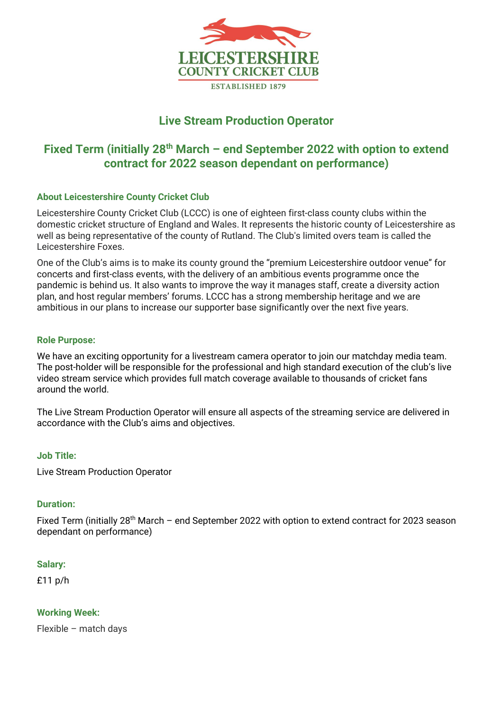

# **Live Stream Production Operator**

# Fixed Term (initially 28<sup>th</sup> March – end September 2022 with option to extend **contract for 2022 season dependant on performance)**

# **About Leicestershire County Cricket Club**

Leicestershire County Cricket Club (LCCC) is one of eighteen first-class county clubs within the domestic cricket structure of England and Wales. It represents the historic county of Leicestershire as well as being representative of the county of Rutland. The Club's limited overs team is called the Leicestershire Foxes.

One of the Club's aims is to make its county ground the "premium Leicestershire outdoor venue" for concerts and first-class events, with the delivery of an ambitious events programme once the pandemic is behind us. It also wants to improve the way it manages staff, create a diversity action plan, and host regular members' forums. LCCC has a strong membership heritage and we are ambitious in our plans to increase our supporter base significantly over the next five years.

#### **Role Purpose:**

We have an exciting opportunity for a livestream camera operator to join our matchday media team. The post-holder will be responsible for the professional and high standard execution of the club's live video stream service which provides full match coverage available to thousands of cricket fans around the world.

The Live Stream Production Operator will ensure all aspects of the streaming service are delivered in accordance with the Club's aims and objectives.

#### **Job Title:**

Live Stream Production Operator

#### **Duration:**

Fixed Term (initially 28<sup>th</sup> March – end September 2022 with option to extend contract for 2023 season dependant on performance)

#### **Salary:**

£11 p/h

**Working Week:**

Flexible – match days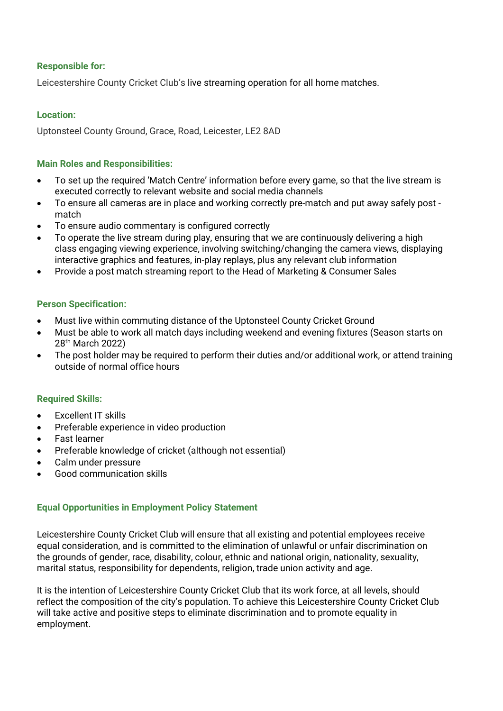# **Responsible for:**

Leicestershire County Cricket Club's live streaming operation for all home matches.

# **Location:**

Uptonsteel County Ground, Grace, Road, Leicester, LE2 8AD

### **Main Roles and Responsibilities:**

- To set up the required 'Match Centre' information before every game, so that the live stream is executed correctly to relevant website and social media channels
- To ensure all cameras are in place and working correctly pre-match and put away safely post match
- To ensure audio commentary is configured correctly
- To operate the live stream during play, ensuring that we are continuously delivering a high class engaging viewing experience, involving switching/changing the camera views, displaying interactive graphics and features, in-play replays, plus any relevant club information
- Provide a post match streaming report to the Head of Marketing & Consumer Sales

# **Person Specification:**

- Must live within commuting distance of the Uptonsteel County Cricket Ground
- Must be able to work all match days including weekend and evening fixtures (Season starts on 28<sup>th</sup> March 2022)
- The post holder may be required to perform their duties and/or additional work, or attend training outside of normal office hours

#### **Required Skills:**

- Excellent IT skills
- Preferable experience in video production
- Fast learner
- Preferable knowledge of cricket (although not essential)
- Calm under pressure
- Good communication skills

# **Equal Opportunities in Employment Policy Statement**

Leicestershire County Cricket Club will ensure that all existing and potential employees receive equal consideration, and is committed to the elimination of unlawful or unfair discrimination on the grounds of gender, race, disability, colour, ethnic and national origin, nationality, sexuality, marital status, responsibility for dependents, religion, trade union activity and age.

It is the intention of Leicestershire County Cricket Club that its work force, at all levels, should reflect the composition of the city's population. To achieve this Leicestershire County Cricket Club will take active and positive steps to eliminate discrimination and to promote equality in employment.